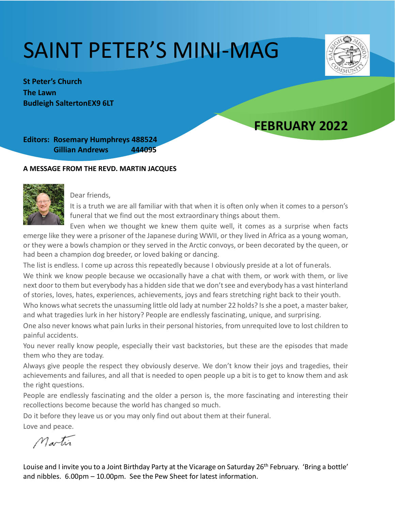# SAINT PETER'S MINI-MAG

**St Peter's Church The Lawn Budleigh SaltertonEX9 6LT** 

## **FEBRUARY 2022**

**Editors: Rosemary Humphreys 488524 Gillian Andrews 444095**

#### **A MESSAGE FROM THE REVD. MARTIN JACQUES**



Dear friends,

It is a truth we are all familiar with that when it is often only when it comes to a person's funeral that we find out the most extraordinary things about them.

Even when we thought we knew them quite well, it comes as a surprise when facts emerge like they were a prisoner of the Japanese during WWII, or they lived in Africa as a young woman, or they were a bowls champion or they served in the Arctic convoys, or been decorated by the queen, or had been a champion dog breeder, or loved baking or dancing.

The list is endless. I come up across this repeatedly because I obviously preside at a lot of funerals.

We think we know people because we occasionally have a chat with them, or work with them, or live next door to them but everybody has a hidden side that we don't see and everybody has a vast hinterland of stories, loves, hates, experiences, achievements, joys and fears stretching right back to their youth.

Who knows what secrets the unassuming little old lady at number 22 holds? Is she a poet, a master baker, and what tragedies lurk in her history? People are endlessly fascinating, unique, and surprising.

One also never knows what pain lurks in their personal histories, from unrequited love to lost children to painful accidents.

You never really know people, especially their vast backstories, but these are the episodes that made them who they are today.

Always give people the respect they obviously deserve. We don't know their joys and tragedies, their achievements and failures, and all that is needed to open people up a bit is to get to know them and ask the right questions.

People are endlessly fascinating and the older a person is, the more fascinating and interesting their recollections become because the world has changed so much.

Do it before they leave us or you may only find out about them at their funeral.

Love and peace.

Martin

Louise and I invite you to a Joint Birthday Party at the Vicarage on Saturday 26<sup>th</sup> February. 'Bring a bottle' and nibbles. 6.00pm – 10.00pm. See the Pew Sheet for latest information.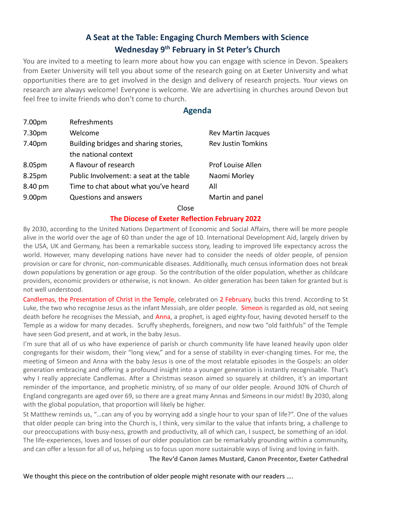### **A Seat at the Table: Engaging Church Members with Science Wednesday 9th February in St Peter's Church**

You are invited to a meeting to learn more about how you can engage with science in Devon. Speakers from Exeter University will tell you about some of the research going on at Exeter University and what opportunities there are to get involved in the design and delivery of research projects. Your views on research are always welcome! Everyone is welcome. We are advertising in churches around Devon but feel free to invite friends who don't come to church.

#### **Agenda**

| 7.00pm             | Refreshments                            |                           |
|--------------------|-----------------------------------------|---------------------------|
| 7.30pm             | Welcome                                 | <b>Rev Martin Jacques</b> |
| 7.40pm             | Building bridges and sharing stories,   | <b>Rev Justin Tomkins</b> |
|                    | the national context                    |                           |
| 8.05pm             | A flavour of research                   | Prof Louise Allen         |
| 8.25pm             | Public Involvement: a seat at the table | Naomi Morley              |
| 8.40 pm            | Time to chat about what you've heard    | All                       |
| 9.00 <sub>pm</sub> | <b>Questions and answers</b>            | Martin and panel          |
|                    |                                         |                           |

#### Close

#### **The Diocese of Exeter Reflection February 2022**

By 2030, according to the United Nations Department of Economic and Social Affairs, there will be more people alive in the world over the age of 60 than under the age of 10. International Development Aid, largely driven by the USA, UK and Germany, has been a remarkable success story, leading to improved life expectancy across the world. However, many developing nations have never had to consider the needs of older people, of pension provision or care for chronic, non-communicable diseases. Additionally, much census information does not break down populations by generation or age group. So the contribution of the older population, whether as childcare providers, economic providers or otherwise, is not known. An older generation has been taken for granted but is not well understood.

Candlemas, the Presentation of Christ in the Temple, celebrated on 2 February, bucks this trend. According to St Luke, the two who recognise Jesus as the infant Messiah, are older people. Simeon is regarded as old, not seeing death before he recognises the Messiah, and Anna, a prophet, is aged eighty-four, having devoted herself to the Temple as a widow for many decades. Scruffy shepherds, foreigners, and now two "old faithfuls" of the Temple have seen God present, and at work, in the baby Jesus.

I'm sure that all of us who have experience of parish or church community life have leaned heavily upon older congregants for their wisdom, their "long view," and for a sense of stability in ever-changing times. For me, the meeting of Simeon and Anna with the baby Jesus is one of the most relatable episodes in the Gospels: an older generation embracing and offering a profound insight into a younger generation is instantly recognisable. That's why I really appreciate Candlemas. After a Christmas season aimed so squarely at children, it's an important reminder of the importance, and prophetic ministry, of so many of our older people. Around 30% of Church of England congregants are aged over 69, so there are a great many Annas and Simeons in our midst! By 2030, along with the global population, that proportion will likely be higher.

St Matthew reminds us, "…can any of you by worrying add a single hour to your span of life?". One of the values that older people can bring into the Church is, I think, very similar to the value that infants bring, a challenge to our preoccupations with busy-ness, growth and productivity, all of which can, I suspect, be something of an idol. The life-experiences, loves and losses of our older population can be remarkably grounding within a community, and can offer a lesson for all of us, helping us to focus upon more sustainable ways of living and loving in faith.

**The Rev'd Canon James Mustard, Canon Precentor, Exeter Cathedral**

We thought this piece on the contribution of older people might resonate with our readers ....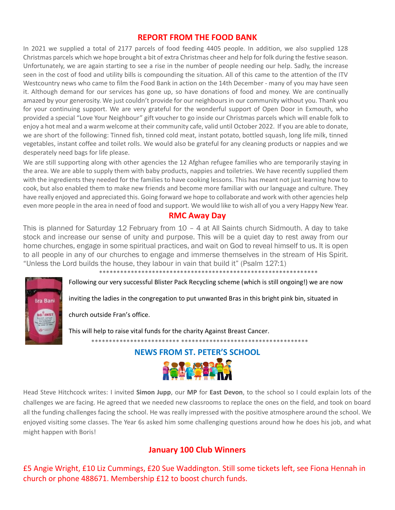#### **REPORT FROM THE FOOD BANK**

In 2021 we supplied a total of 2177 parcels of food feeding 4405 people. In addition, we also supplied 128 Christmas parcels which we hope brought a bit of extra Christmas cheer and help for folk during the festive season. Unfortunately, we are again starting to see a rise in the number of people needing our help. Sadly, the increase seen in the cost of food and utility bills is compounding the situation. All of this came to the attention of the ITV Westcountry news who came to film the Food Bank in action on the 14th December - many of you may have seen it. Although demand for our services has gone up, so have donations of food and money. We are continually amazed by your generosity. We just couldn't provide for our neighbours in our community without you. Thank you for your continuing support. We are very grateful for the wonderful support of Open Door in Exmouth, who provided a special "Love Your Neighbour" gift voucher to go inside our Christmas parcels which will enable folk to enjoy a hot meal and a warm welcome at their community cafe, valid until October 2022. If you are able to donate, we are short of the following: Tinned fish, tinned cold meat, instant potato, bottled squash, long life milk, tinned vegetables, instant coffee and toilet rolls. We would also be grateful for any cleaning products or nappies and we desperately need bags for life please.

We are still supporting along with other agencies the 12 Afghan refugee families who are temporarily staying in the area. We are able to supply them with baby products, nappies and toiletries. We have recently supplied them with the ingredients they needed for the families to have cooking lessons. This has meant not just learning how to cook, but also enabled them to make new friends and become more familiar with our language and culture. They have really enjoyed and appreciated this. Going forward we hope to collaborate and work with other agencies help even more people in the area in need of food and support. We would like to wish all of you a very Happy New Year.

#### **RMC Away Day**

This is planned for Saturday 12 February from 10 – 4 at All Saints church Sidmouth. A day to take stock and increase our sense of unity and purpose. This will be a quiet day to rest away from our home churches, engage in some spiritual practices, and wait on God to reveal himself to us. It is open to all people in any of our churches to engage and immerse themselves in the stream of His Spirit. "Unless the Lord builds the house, they labour in vain that build it" (Psalm 127:1)

\*\*\*\*\*\*\*\*\*\*\*\*\*\*\*\*\*\*\*\*\*\*\*\*\*\*\*\*\*\*\*\*\*\*\*\*\*\*\*\*\*\*\*\*\*\*\*\*\*\*\*\*\*\*\*\*\*\*\*\*\*\*

Following our very successful Blister Pack Recycling scheme (which is still ongoing!) we are now

inviting the ladies in the congregation to put unwanted Bras in this bright pink bin, situated in

#### church outside Fran's office.

**Bra Bank** 

This will help to raise vital funds for the charity Against Breast Cancer.

**NEWS FROM ST. PETER'S SCHOOL**



\*\*\*\*\*\*\*\*\*\*\*\*\*\*\*\*\*\*\*\*\*\*\*\*\* \*\*\*\*\*\*\*\*\*\*\*\*\*\*\*\*\*\*\*\*\*\*\*\*\*\*\*\*\*\*\*\*\*\*\*\*

Head Steve Hitchcock writes: I invited **Simon Jupp**, our **MP** for **East Devon**, to the school so I could explain lots of the challenges we are facing. He agreed that we needed new classrooms to replace the ones on the field, and took on board all the funding challenges facing the school. He was really impressed with the positive atmosphere around the school. We enjoyed visiting some classes. The Year 6s asked him some challenging questions around how he does his job, and what might happen with Boris!

#### **January 100 Club Winners**

£5 Angie Wright, £10 Liz Cummings, £20 Sue Waddington. Still some tickets left, see Fiona Hennah in church or phone 488671. Membership £12 to boost church funds.